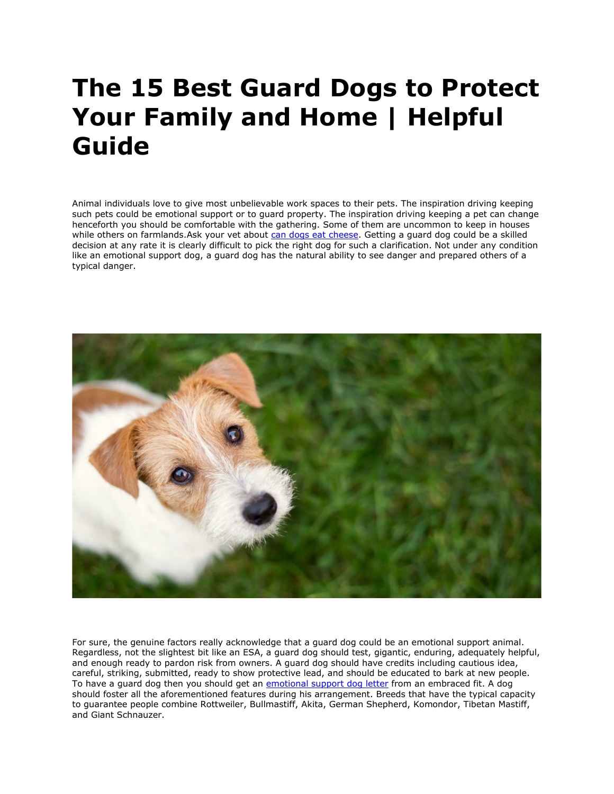## **The 15 Best Guard Dogs to Protect Your Family and Home | Helpful Guide**

Animal individuals love to give most unbelievable work spaces to their pets. The inspiration driving keeping such pets could be emotional support or to guard property. The inspiration driving keeping a pet can change henceforth you should be comfortable with the gathering. Some of them are uncommon to keep in houses while others on farmlands.Ask your vet about [can dogs eat cheese.](https://www.realesaletter.com/blog/can-dogs-eat-cheese) Getting a guard dog could be a skilled decision at any rate it is clearly difficult to pick the right dog for such a clarification. Not under any condition like an emotional support dog, a guard dog has the natural ability to see danger and prepared others of a typical danger.



For sure, the genuine factors really acknowledge that a guard dog could be an emotional support animal. Regardless, not the slightest bit like an ESA, a guard dog should test, gigantic, enduring, adequately helpful, and enough ready to pardon risk from owners. A guard dog should have credits including cautious idea, careful, striking, submitted, ready to show protective lead, and should be educated to bark at new people. To have a guard dog then you should get an [emotional support dog letter](https://www.realesaletter.com/sample-esa-letter) from an embraced fit. A dog should foster all the aforementioned features during his arrangement. Breeds that have the typical capacity to guarantee people combine Rottweiler, Bullmastiff, Akita, German Shepherd, Komondor, Tibetan Mastiff, and Giant Schnauzer.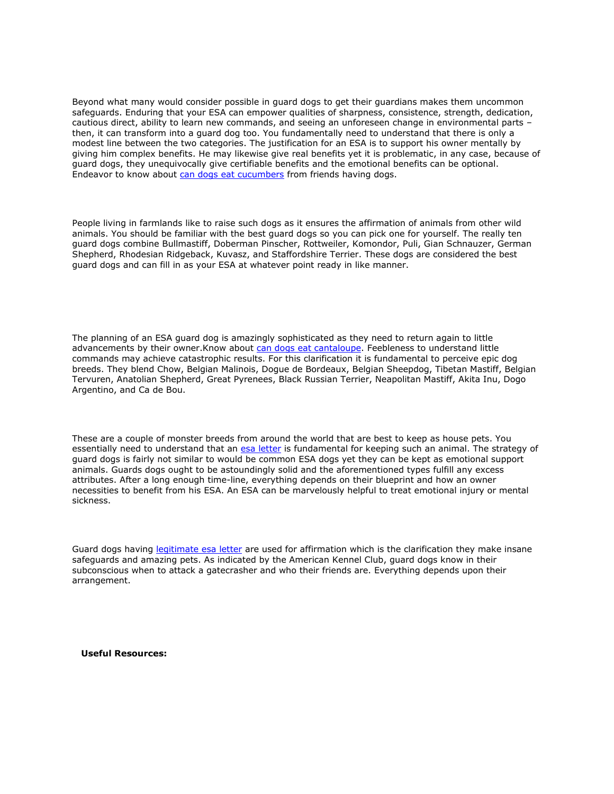Beyond what many would consider possible in guard dogs to get their guardians makes them uncommon safeguards. Enduring that your ESA can empower qualities of sharpness, consistence, strength, dedication, cautious direct, ability to learn new commands, and seeing an unforeseen change in environmental parts – then, it can transform into a guard dog too. You fundamentally need to understand that there is only a modest line between the two categories. The justification for an ESA is to support his owner mentally by giving him complex benefits. He may likewise give real benefits yet it is problematic, in any case, because of guard dogs, they unequivocally give certifiable benefits and the emotional benefits can be optional. Endeavor to know about [can dogs eat cucumbers](https://www.realesaletter.com/blog/can-dogs-eat-cucumbers) from friends having dogs.

People living in farmlands like to raise such dogs as it ensures the affirmation of animals from other wild animals. You should be familiar with the best guard dogs so you can pick one for yourself. The really ten guard dogs combine Bullmastiff, Doberman Pinscher, Rottweiler, Komondor, Puli, Gian Schnauzer, German Shepherd, Rhodesian Ridgeback, Kuvasz, and Staffordshire Terrier. These dogs are considered the best guard dogs and can fill in as your ESA at whatever point ready in like manner.

The planning of an ESA guard dog is amazingly sophisticated as they need to return again to little advancements by their owner. Know about [can dogs eat cantaloupe.](https://www.realesaletter.com/blog/can-dogs-eat-cantaloupe) Feebleness to understand little commands may achieve catastrophic results. For this clarification it is fundamental to perceive epic dog breeds. They blend Chow, Belgian Malinois, Dogue de Bordeaux, Belgian Sheepdog, Tibetan Mastiff, Belgian Tervuren, Anatolian Shepherd, Great Pyrenees, Black Russian Terrier, Neapolitan Mastiff, Akita Inu, Dogo Argentino, and Ca de Bou.

These are a couple of monster breeds from around the world that are best to keep as house pets. You essentially need to understand that an [esa letter](https://myesaletter.net/) is fundamental for keeping such an animal. The strategy of guard dogs is fairly not similar to would be common ESA dogs yet they can be kept as emotional support animals. Guards dogs ought to be astoundingly solid and the aforementioned types fulfill any excess attributes. After a long enough time-line, everything depends on their blueprint and how an owner necessities to benefit from his ESA. An ESA can be marvelously helpful to treat emotional injury or mental sickness.

Guard dogs having [legitimate esa letter](https://myesaletter.net/) are used for affirmation which is the clarification they make insane safeguards and amazing pets. As indicated by the American Kennel Club, guard dogs know in their subconscious when to attack a gatecrasher and who their friends are. Everything depends upon their arrangement.

**Useful Resources:**